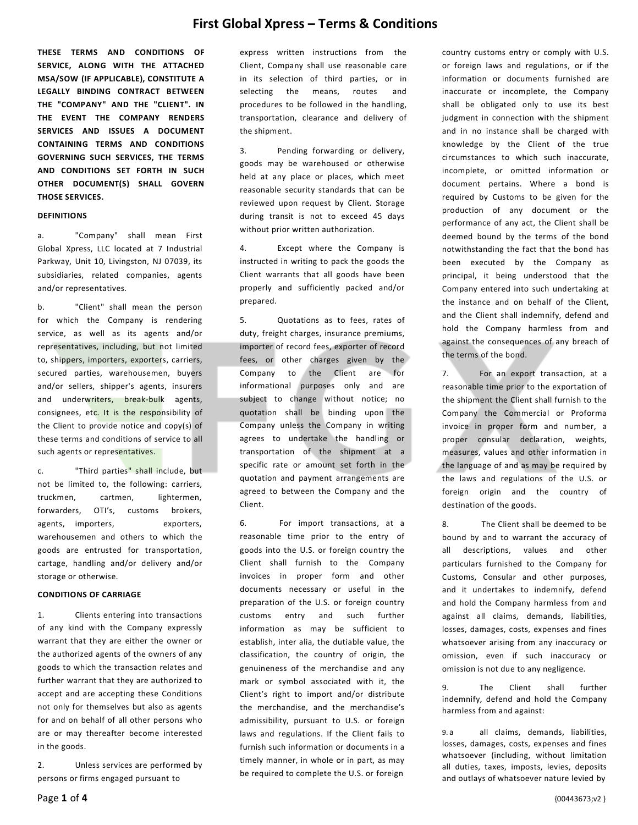**THESE TERMS AND CONDITIONS OF SERVICE, ALONG WITH THE ATTACHED MSA/SOW (IF APPLICABLE), CONSTITUTE A LEGALLY BINDING CONTRACT BETWEEN THE "COMPANY" AND THE "CLIENT". IN THE EVENT THE COMPANY RENDERS SERVICES AND ISSUES A DOCUMENT CONTAINING TERMS AND CONDITIONS GOVERNING SUCH SERVICES, THE TERMS AND CONDITIONS SET FORTH IN SUCH OTHER DOCUMENT(S) SHALL GOVERN THOSE SERVICES.** 

#### **DEFINITIONS**

a. "Company" shall mean First Global Xpress, LLC located at 7 Industrial Parkway, Unit 10, Livingston, NJ 07039, its subsidiaries, related companies, agents and/or representatives.

b. "Client" shall mean the person for which the Company is rendering service, as well as its agents and/or representatives, including, but not limited to, shippers, importers, exporters, carriers, secured parties, warehousemen, buyers and/or sellers, shipper's agents, insurers and underwriters, break-bulk agents, consignees, etc. It is the responsibility of the Client to provide notice and copy(s) of these terms and conditions of service to all such agents or representatives.

c. "Third parties" shall include, but not be limited to, the following: carriers, truckmen, cartmen, lightermen, forwarders, OTI's, customs brokers, agents, importers, exporters, warehousemen and others to which the goods are entrusted for transportation, cartage, handling and/or delivery and/or storage or otherwise.

## **CONDITIONS OF CARRIAGE**

1. Clients entering into transactions of any kind with the Company expressly warrant that they are either the owner or the authorized agents of the owners of any goods to which the transaction relates and further warrant that they are authorized to accept and are accepting these Conditions not only for themselves but also as agents for and on behalf of all other persons who are or may thereafter become interested in the goods.

2. Unless services are performed by persons or firms engaged pursuant to

express written instructions from the Client, Company shall use reasonable care in its selection of third parties, or in selecting the means, routes and procedures to be followed in the handling, transportation, clearance and delivery of the shipment.

3. Pending forwarding or delivery, goods may be warehoused or otherwise held at any place or places, which meet reasonable security standards that can be reviewed upon request by Client. Storage during transit is not to exceed 45 days without prior written authorization.

4. Except where the Company is instructed in writing to pack the goods the Client warrants that all goods have been properly and sufficiently packed and/or prepared.

5. Quotations as to fees, rates of duty, freight charges, insurance premiums, importer of record fees, exporter of record fees, or other charges given by the Company to the Client are for informational purposes only and are subject to change without notice; no quotation shall be binding upon the Company unless the Company in writing agrees to undertake the handling or transportation of the shipment at a specific rate or amount set forth in the quotation and payment arrangements are agreed to between the Company and the Client.

6. For import transactions, at a reasonable time prior to the entry of goods into the U.S. or foreign country the Client shall furnish to the Company invoices in proper form and other documents necessary or useful in the preparation of the U.S. or foreign country customs entry and such further information as may be sufficient to establish, inter alia, the dutiable value, the classification, the country of origin, the genuineness of the merchandise and any mark or symbol associated with it, the Client's right to import and/or distribute the merchandise, and the merchandise's admissibility, pursuant to U.S. or foreign laws and regulations. If the Client fails to furnish such information or documents in a timely manner, in whole or in part, as may be required to complete the U.S. or foreign

country customs entry or comply with U.S. or foreign laws and regulations, or if the information or documents furnished are inaccurate or incomplete, the Company shall be obligated only to use its best judgment in connection with the shipment and in no instance shall be charged with knowledge by the Client of the true circumstances to which such inaccurate, incomplete, or omitted information or document pertains. Where a bond is required by Customs to be given for the production of any document or the performance of any act, the Client shall be deemed bound by the terms of the bond notwithstanding the fact that the bond has been executed by the Company as principal, it being understood that the Company entered into such undertaking at the instance and on behalf of the Client, and the Client shall indemnify, defend and hold the Company harmless from and against the consequences of any breach of the terms of the bond.

7. For an export transaction, at a reasonable time prior to the exportation of the shipment the Client shall furnish to the Company the Commercial or Proforma invoice in proper form and number, a proper consular declaration, weights, measures, values and other information in the language of and as may be required by the laws and regulations of the U.S. or foreign origin and the country of destination of the goods.

8. The Client shall be deemed to be bound by and to warrant the accuracy of all descriptions, values and other particulars furnished to the Company for Customs, Consular and other purposes, and it undertakes to indemnify, defend and hold the Company harmless from and against all claims, demands, liabilities, losses, damages, costs, expenses and fines whatsoever arising from any inaccuracy or omission, even if such inaccuracy or omission is not due to any negligence.

9. The Client shall further indemnify, defend and hold the Company harmless from and against:

9. a all claims, demands, liabilities, losses, damages, costs, expenses and fines whatsoever (including, without limitation all duties, taxes, imposts, levies, deposits and outlays of whatsoever nature levied by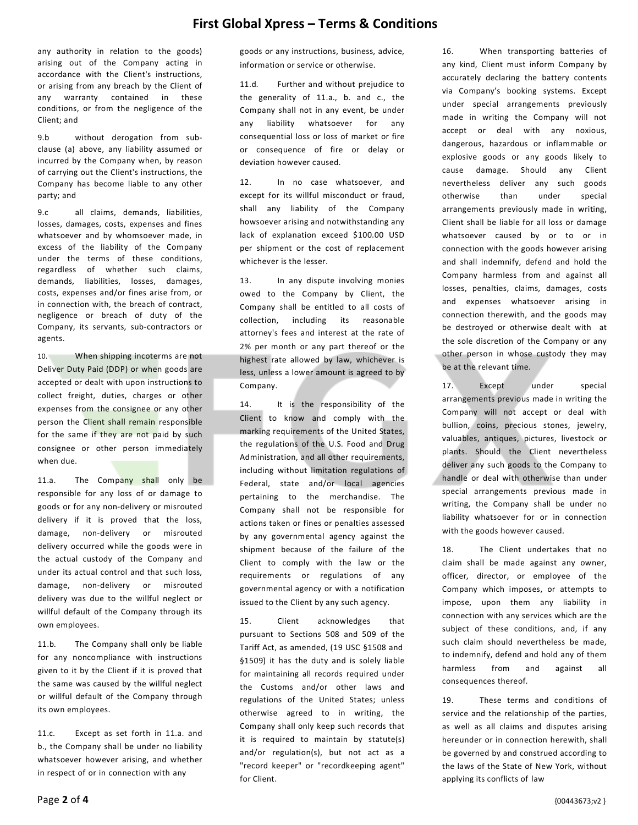any authority in relation to the goods) arising out of the Company acting in accordance with the Client's instructions, or arising from any breach by the Client of any warranty contained in these conditions, or from the negligence of the Client; and

9.b without derogation from subclause (a) above, any liability assumed or incurred by the Company when, by reason of carrying out the Client's instructions, the Company has become liable to any other party; and

9.c all claims, demands, liabilities, losses, damages, costs, expenses and fines whatsoever and by whomsoever made, in excess of the liability of the Company under the terms of these conditions, regardless of whether such claims, demands, liabilities, losses, damages, costs, expenses and/or fines arise from, or in connection with, the breach of contract, negligence or breach of duty of the Company, its servants, sub-contractors or agents.

10. When shipping incoterms are not Deliver Duty Paid (DDP) or when goods are accepted or dealt with upon instructions to collect freight, duties, charges or other expenses from the consignee or any other person the Client shall remain responsible for the same if they are not paid by such consignee or other person immediately when due.

11.a. The Company shall only be responsible for any loss of or damage to goods or for any non-delivery or misrouted delivery if it is proved that the loss, damage, non-delivery or misrouted delivery occurred while the goods were in the actual custody of the Company and under its actual control and that such loss, damage, non-delivery or misrouted delivery was due to the willful neglect or willful default of the Company through its own employees.

11.b. The Company shall only be liable for any noncompliance with instructions given to it by the Client if it is proved that the same was caused by the willful neglect or willful default of the Company through its own employees.

11.c. Except as set forth in 11.a. and b., the Company shall be under no liability whatsoever however arising, and whether in respect of or in connection with any

goods or any instructions, business, advice, information or service or otherwise.

11.d. Further and without prejudice to the generality of 11.a., b. and c., the Company shall not in any event, be under any liability whatsoever for any consequential loss or loss of market or fire or consequence of fire or delay or deviation however caused.

12. In no case whatsoever, and except for its willful misconduct or fraud, shall any liability of the Company howsoever arising and notwithstanding any lack of explanation exceed \$100.00 USD per shipment or the cost of replacement whichever is the lesser.

13. In any dispute involving monies owed to the Company by Client, the Company shall be entitled to all costs of collection, including its reasonable attorney's fees and interest at the rate of 2% per month or any part thereof or the highest rate allowed by law, whichever is less, unless a lower amount is agreed to by Company.

14. It is the responsibility of the Client to know and comply with the marking requirements of the United States, the regulations of the U.S. Food and Drug Administration, and all other requirements, including without limitation regulations of Federal, state and/or local agencies pertaining to the merchandise. The Company shall not be responsible for actions taken or fines or penalties assessed by any governmental agency against the shipment because of the failure of the Client to comply with the law or the requirements or regulations of any governmental agency or with a notification issued to the Client by any such agency.

15. Client acknowledges that pursuant to Sections 508 and 509 of the Tariff Act, as amended, (19 USC §1508 and §1509) it has the duty and is solely liable for maintaining all records required under the Customs and/or other laws and regulations of the United States; unless otherwise agreed to in writing, the Company shall only keep such records that it is required to maintain by statute(s) and/or regulation(s), but not act as a "record keeper" or "recordkeeping agent" for Client.

16. When transporting batteries of any kind, Client must inform Company by accurately declaring the battery contents via Company's booking systems. Except under special arrangements previously made in writing the Company will not accept or deal with any noxious, dangerous, hazardous or inflammable or explosive goods or any goods likely to cause damage. Should any Client nevertheless deliver any such goods otherwise than under special arrangements previously made in writing, Client shall be liable for all loss or damage whatsoever caused by or to or in connection with the goods however arising and shall indemnify, defend and hold the Company harmless from and against all losses, penalties, claims, damages, costs and expenses whatsoever arising in connection therewith, and the goods may be destroyed or otherwise dealt with at the sole discretion of the Company or any other person in whose custody they may be at the relevant time.

17. Except under special arrangements previous made in writing the Company will not accept or deal with bullion, coins, precious stones, jewelry, valuables, antiques, pictures, livestock or plants. Should the Client nevertheless deliver any such goods to the Company to handle or deal with otherwise than under special arrangements previous made in writing, the Company shall be under no liability whatsoever for or in connection with the goods however caused.

18. The Client undertakes that no claim shall be made against any owner, officer, director, or employee of the Company which imposes, or attempts to impose, upon them any liability in connection with any services which are the subject of these conditions, and, if any such claim should nevertheless be made, to indemnify, defend and hold any of them harmless from and against all consequences thereof.

19. These terms and conditions of service and the relationship of the parties, as well as all claims and disputes arising hereunder or in connection herewith, shall be governed by and construed according to the laws of the State of New York, without applying its conflicts of law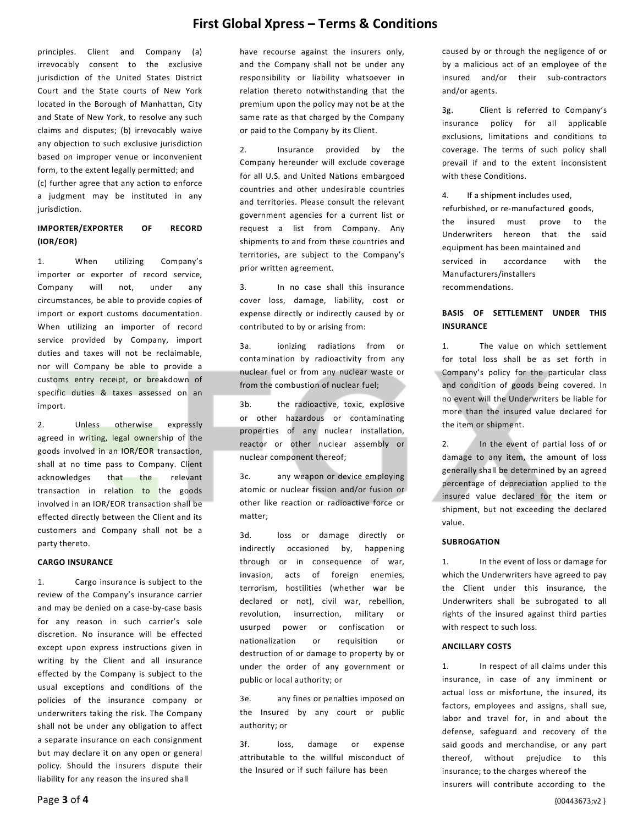principles. Client and Company (a) irrevocably consent to the exclusive jurisdiction of the United States District Court and the State courts of New York located in the Borough of Manhattan, City and State of New York, to resolve any such claims and disputes; (b) irrevocably waive any objection to such exclusive jurisdiction based on improper venue or inconvenient form, to the extent legally permitted; and (c) further agree that any action to enforce a judgment may be instituted in any jurisdiction.

## **IMPORTER/EXPORTER OF RECORD (IOR/EOR)**

1. When utilizing Company's importer or exporter of record service, Company will not, under any circumstances, be able to provide copies of import or export customs documentation. When utilizing an importer of record service provided by Company, import duties and taxes will not be reclaimable, nor will Company be able to provide a customs entry receipt, or breakdown of specific duties & taxes assessed on an import.

2. Unless otherwise expressly agreed in writing, legal ownership of the goods involved in an IOR/EOR transaction, shall at no time pass to Company. Client acknowledges that the relevant transaction in relation to the goods involved in an IOR/EOR transaction shall be effected directly between the Client and its customers and Company shall not be a party thereto.

## **CARGO INSURANCE**

1. Cargo insurance is subject to the review of the Company's insurance carrier and may be denied on a case-by-case basis for any reason in such carrier's sole discretion. No insurance will be effected except upon express instructions given in writing by the Client and all insurance effected by the Company is subject to the usual exceptions and conditions of the policies of the insurance company or underwriters taking the risk. The Company shall not be under any obligation to affect a separate insurance on each consignment but may declare it on any open or general policy. Should the insurers dispute their liability for any reason the insured shall

have recourse against the insurers only, and the Company shall not be under any responsibility or liability whatsoever in relation thereto notwithstanding that the premium upon the policy may not be at the same rate as that charged by the Company or paid to the Company by its Client.

2. Insurance provided by the Company hereunder will exclude coverage for all U.S. and United Nations embargoed countries and other undesirable countries and territories. Please consult the relevant government agencies for a current list or request a list from Company. Any shipments to and from these countries and territories, are subject to the Company's prior written agreement.

3. In no case shall this insurance cover loss, damage, liability, cost or expense directly or indirectly caused by or contributed to by or arising from:

3a. ionizing radiations from or contamination by radioactivity from any nuclear fuel or from any nuclear waste or from the combustion of nuclear fuel;

3b. the radioactive, toxic, explosive or other hazardous or contaminating properties of any nuclear installation, reactor or other nuclear assembly or nuclear component thereof;

3c. any weapon or device employing atomic or nuclear fission and/or fusion or other like reaction or radioactive force or matter;

3d. loss or damage directly or indirectly occasioned by, happening through or in consequence of war, invasion, acts of foreign enemies, terrorism, hostilities (whether war be declared or not), civil war, rebellion, revolution, insurrection, military or usurped power or confiscation or nationalization or requisition or destruction of or damage to property by or under the order of any government or public or local authority; or

3e. any fines or penalties imposed on the Insured by any court or public authority; or

3f. loss, damage or expense attributable to the willful misconduct of the Insured or if such failure has been

caused by or through the negligence of or by a malicious act of an employee of the insured and/or their sub-contractors and/or agents.

3g. Client is referred to Company's insurance policy for all applicable exclusions, limitations and conditions to coverage. The terms of such policy shall prevail if and to the extent inconsistent with these Conditions.

4. If a shipment includes used, refurbished, or re-manufactured goods, the insured must prove to the Underwriters hereon that the said equipment has been maintained and serviced in accordance with the Manufacturers/installers recommendations.

## **BASIS OF SETTLEMENT UNDER THIS INSURANCE**

1. The value on which settlement for total loss shall be as set forth in Company's policy for the particular class and condition of goods being covered. In no event will the Underwriters be liable for more than the insured value declared for the item or shipment.

2. In the event of partial loss of or damage to any item, the amount of loss generally shall be determined by an agreed percentage of depreciation applied to the insured value declared for the item or shipment, but not exceeding the declared value.

#### **SUBROGATION**

1. In the event of loss or damage for which the Underwriters have agreed to pay the Client under this insurance, the Underwriters shall be subrogated to all rights of the insured against third parties with respect to such loss.

## **ANCILLARY COSTS**

1. In respect of all claims under this insurance, in case of any imminent or actual loss or misfortune, the insured, its factors, employees and assigns, shall sue, labor and travel for, in and about the defense, safeguard and recovery of the said goods and merchandise, or any part thereof, without prejudice to this insurance; to the charges whereof the insurers will contribute according to the